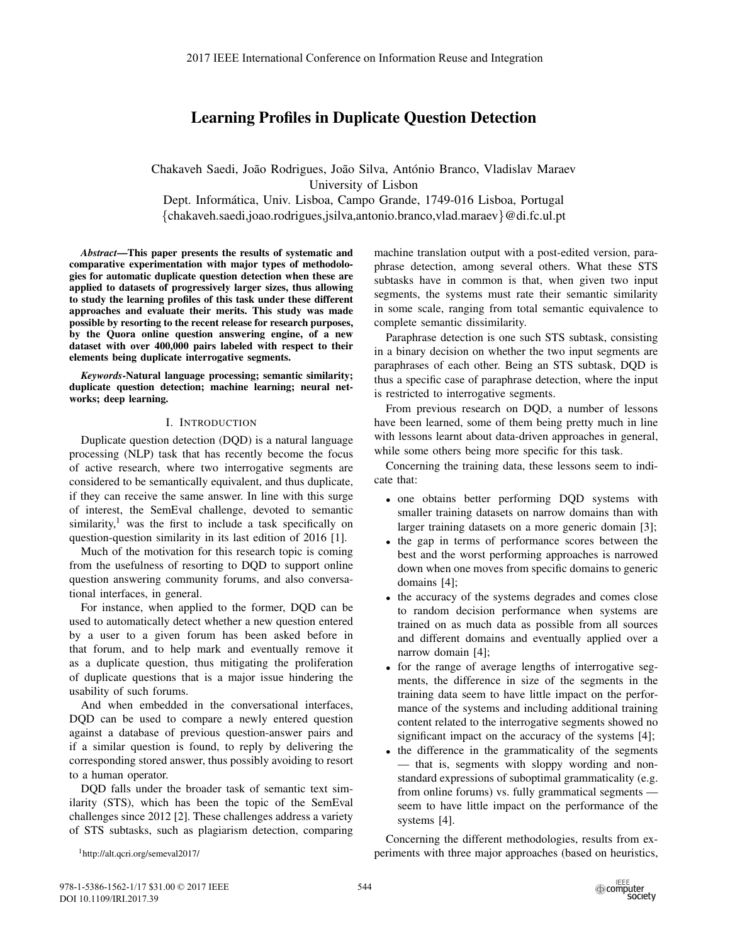# Learning Profiles in Duplicate Question Detection

Chakaveh Saedi, João Rodrigues, João Silva, António Branco, Vladislav Maraev University of Lisbon Dept. Informática, Univ. Lisboa, Campo Grande, 1749-016 Lisboa, Portugal {chakaveh.saedi,joao.rodrigues,jsilva,antonio.branco,vlad.maraev}@di.fc.ul.pt

*Abstract*—This paper presents the results of systematic and comparative experimentation with major types of methodologies for automatic duplicate question detection when these are applied to datasets of progressively larger sizes, thus allowing to study the learning profiles of this task under these different approaches and evaluate their merits. This study was made possible by resorting to the recent release for research purposes, by the Quora online question answering engine, of a new dataset with over 400,000 pairs labeled with respect to their elements being duplicate interrogative segments.

*Keywords*-Natural language processing; semantic similarity; duplicate question detection; machine learning; neural networks; deep learning.

## I. INTRODUCTION

Duplicate question detection (DQD) is a natural language processing (NLP) task that has recently become the focus of active research, where two interrogative segments are considered to be semantically equivalent, and thus duplicate, if they can receive the same answer. In line with this surge of interest, the SemEval challenge, devoted to semantic similarity, $\frac{1}{x}$  was the first to include a task specifically on question-question similarity in its last edition of 2016 [1].

Much of the motivation for this research topic is coming from the usefulness of resorting to DQD to support online question answering community forums, and also conversational interfaces, in general.

For instance, when applied to the former, DQD can be used to automatically detect whether a new question entered by a user to a given forum has been asked before in that forum, and to help mark and eventually remove it as a duplicate question, thus mitigating the proliferation of duplicate questions that is a major issue hindering the usability of such forums.

And when embedded in the conversational interfaces, DQD can be used to compare a newly entered question against a database of previous question-answer pairs and if a similar question is found, to reply by delivering the corresponding stored answer, thus possibly avoiding to resort to a human operator.

DQD falls under the broader task of semantic text similarity (STS), which has been the topic of the SemEval challenges since 2012 [2]. These challenges address a variety of STS subtasks, such as plagiarism detection, comparing

1http://alt.qcri.org/semeval2017/

machine translation output with a post-edited version, paraphrase detection, among several others. What these STS subtasks have in common is that, when given two input segments, the systems must rate their semantic similarity in some scale, ranging from total semantic equivalence to complete semantic dissimilarity.

Paraphrase detection is one such STS subtask, consisting in a binary decision on whether the two input segments are paraphrases of each other. Being an STS subtask, DQD is thus a specific case of paraphrase detection, where the input is restricted to interrogative segments.

From previous research on DQD, a number of lessons have been learned, some of them being pretty much in line with lessons learnt about data-driven approaches in general, while some others being more specific for this task.

Concerning the training data, these lessons seem to indicate that:

- one obtains better performing DQD systems with smaller training datasets on narrow domains than with larger training datasets on a more generic domain [3];
- the gap in terms of performance scores between the best and the worst performing approaches is narrowed down when one moves from specific domains to generic domains [4];
- the accuracy of the systems degrades and comes close to random decision performance when systems are trained on as much data as possible from all sources and different domains and eventually applied over a narrow domain [4];
- for the range of average lengths of interrogative segments, the difference in size of the segments in the training data seem to have little impact on the performance of the systems and including additional training content related to the interrogative segments showed no significant impact on the accuracy of the systems [4];
- the difference in the grammaticality of the segments — that is, segments with sloppy wording and nonstandard expressions of suboptimal grammaticality (e.g. from online forums) vs. fully grammatical segments seem to have little impact on the performance of the systems [4].

Concerning the different methodologies, results from experiments with three major approaches (based on heuristics,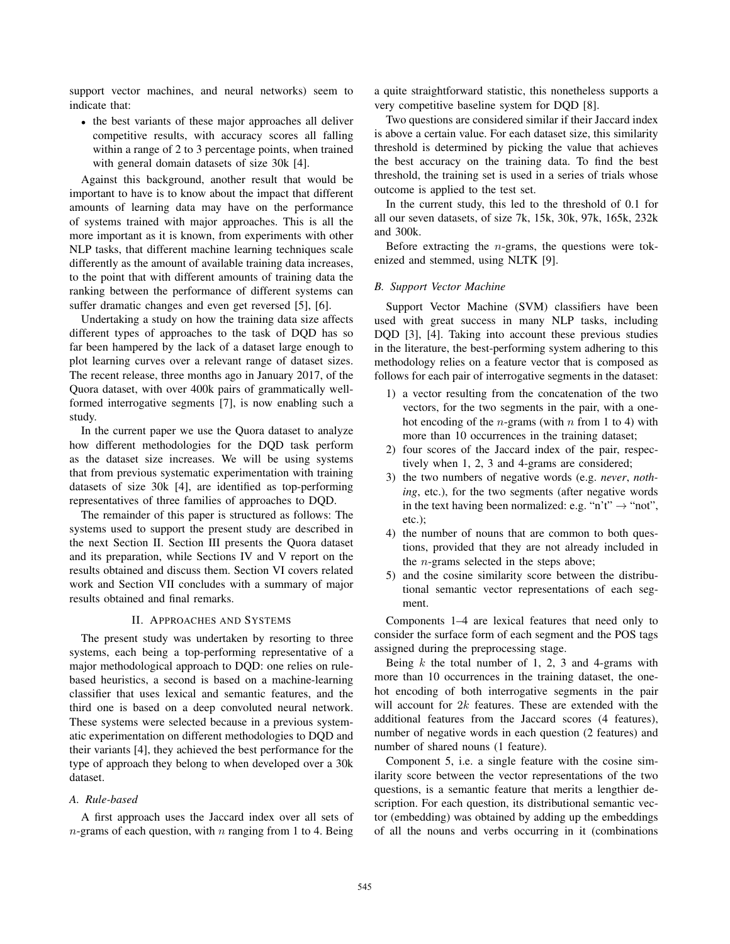support vector machines, and neural networks) seem to indicate that:

• the best variants of these major approaches all deliver competitive results, with accuracy scores all falling within a range of 2 to 3 percentage points, when trained with general domain datasets of size 30k [4].

Against this background, another result that would be important to have is to know about the impact that different amounts of learning data may have on the performance of systems trained with major approaches. This is all the more important as it is known, from experiments with other NLP tasks, that different machine learning techniques scale differently as the amount of available training data increases, to the point that with different amounts of training data the ranking between the performance of different systems can suffer dramatic changes and even get reversed [5], [6].

Undertaking a study on how the training data size affects different types of approaches to the task of DQD has so far been hampered by the lack of a dataset large enough to plot learning curves over a relevant range of dataset sizes. The recent release, three months ago in January 2017, of the Quora dataset, with over 400k pairs of grammatically wellformed interrogative segments [7], is now enabling such a study.

In the current paper we use the Quora dataset to analyze how different methodologies for the DQD task perform as the dataset size increases. We will be using systems that from previous systematic experimentation with training datasets of size 30k [4], are identified as top-performing representatives of three families of approaches to DQD.

The remainder of this paper is structured as follows: The systems used to support the present study are described in the next Section II. Section III presents the Quora dataset and its preparation, while Sections IV and V report on the results obtained and discuss them. Section VI covers related work and Section VII concludes with a summary of major results obtained and final remarks.

## II. APPROACHES AND SYSTEMS

The present study was undertaken by resorting to three systems, each being a top-performing representative of a major methodological approach to DQD: one relies on rulebased heuristics, a second is based on a machine-learning classifier that uses lexical and semantic features, and the third one is based on a deep convoluted neural network. These systems were selected because in a previous systematic experimentation on different methodologies to DQD and their variants [4], they achieved the best performance for the type of approach they belong to when developed over a 30k dataset.

# *A. Rule-based*

A first approach uses the Jaccard index over all sets of  $n$ -grams of each question, with  $n$  ranging from 1 to 4. Being a quite straightforward statistic, this nonetheless supports a very competitive baseline system for DQD [8].

Two questions are considered similar if their Jaccard index is above a certain value. For each dataset size, this similarity threshold is determined by picking the value that achieves the best accuracy on the training data. To find the best threshold, the training set is used in a series of trials whose outcome is applied to the test set.

In the current study, this led to the threshold of 0.1 for all our seven datasets, of size 7k, 15k, 30k, 97k, 165k, 232k and 300k.

Before extracting the  $n$ -grams, the questions were tokenized and stemmed, using NLTK [9].

### *B. Support Vector Machine*

Support Vector Machine (SVM) classifiers have been used with great success in many NLP tasks, including DQD [3], [4]. Taking into account these previous studies in the literature, the best-performing system adhering to this methodology relies on a feature vector that is composed as follows for each pair of interrogative segments in the dataset:

- 1) a vector resulting from the concatenation of the two vectors, for the two segments in the pair, with a onehot encoding of the *n*-grams (with *n* from 1 to 4) with more than 10 occurrences in the training dataset;
- 2) four scores of the Jaccard index of the pair, respectively when 1, 2, 3 and 4-grams are considered;
- 3) the two numbers of negative words (e.g. *never*, *nothing*, etc.), for the two segments (after negative words in the text having been normalized: e.g. "n't"  $\rightarrow$  "not", etc.);
- 4) the number of nouns that are common to both questions, provided that they are not already included in the n-grams selected in the steps above;
- 5) and the cosine similarity score between the distributional semantic vector representations of each segment.

Components 1–4 are lexical features that need only to consider the surface form of each segment and the POS tags assigned during the preprocessing stage.

Being  $k$  the total number of 1, 2, 3 and 4-grams with more than 10 occurrences in the training dataset, the onehot encoding of both interrogative segments in the pair will account for  $2k$  features. These are extended with the additional features from the Jaccard scores (4 features), number of negative words in each question (2 features) and number of shared nouns (1 feature).

Component 5, i.e. a single feature with the cosine similarity score between the vector representations of the two questions, is a semantic feature that merits a lengthier description. For each question, its distributional semantic vector (embedding) was obtained by adding up the embeddings of all the nouns and verbs occurring in it (combinations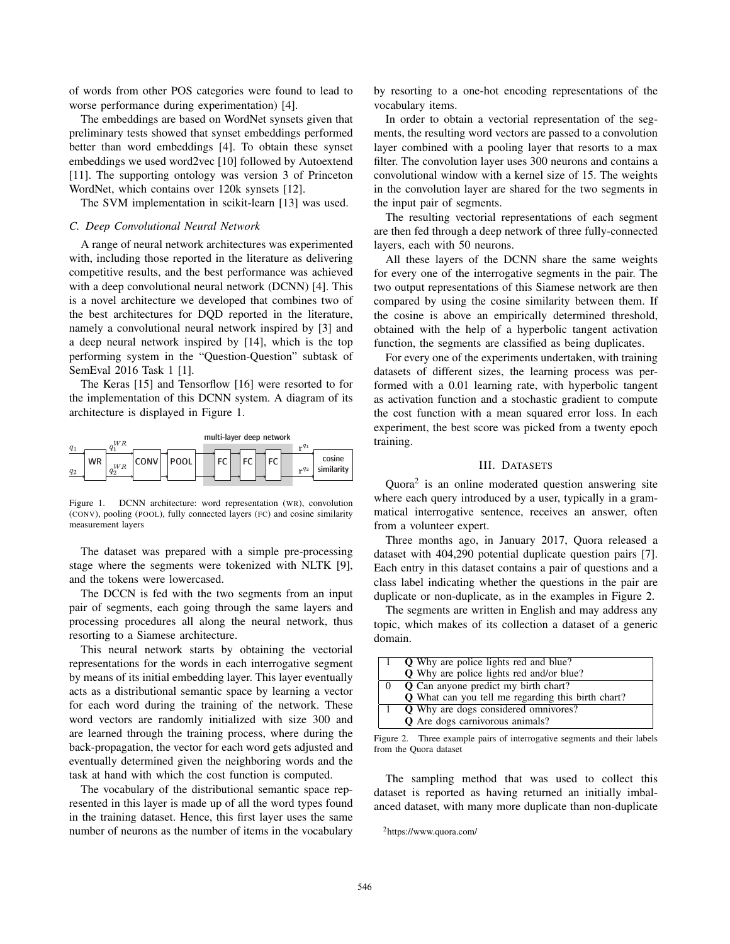of words from other POS categories were found to lead to worse performance during experimentation) [4].

The embeddings are based on WordNet synsets given that preliminary tests showed that synset embeddings performed better than word embeddings [4]. To obtain these synset embeddings we used word2vec [10] followed by Autoextend [11]. The supporting ontology was version 3 of Princeton WordNet, which contains over 120k synsets [12].

The SVM implementation in scikit-learn [13] was used.

#### *C. Deep Convolutional Neural Network*

A range of neural network architectures was experimented with, including those reported in the literature as delivering competitive results, and the best performance was achieved with a deep convolutional neural network (DCNN) [4]. This is a novel architecture we developed that combines two of the best architectures for DQD reported in the literature, namely a convolutional neural network inspired by [3] and a deep neural network inspired by [14], which is the top performing system in the "Question-Question" subtask of SemEval 2016 Task 1 [1].

The Keras [15] and Tensorflow [16] were resorted to for the implementation of this DCNN system. A diagram of its architecture is displayed in Figure 1.

|                    | W R                  |      |             | multi-layer deep network |    |    |           |                      |
|--------------------|----------------------|------|-------------|--------------------------|----|----|-----------|----------------------|
| $q_1$              |                      |      |             |                          |    |    | $r^{q_1}$ |                      |
| <b>WR</b><br>$q_2$ | W <sub>R</sub><br>q2 | CONV | <b>POOL</b> | <b>FC</b>                | FC | FC | $nq_2$    | cosine<br>similarity |

Figure 1. DCNN architecture: word representation (WR), convolution (CONV), pooling (POOL), fully connected layers (FC) and cosine similarity measurement layers

The dataset was prepared with a simple pre-processing stage where the segments were tokenized with NLTK [9], and the tokens were lowercased.

The DCCN is fed with the two segments from an input pair of segments, each going through the same layers and processing procedures all along the neural network, thus resorting to a Siamese architecture.

This neural network starts by obtaining the vectorial representations for the words in each interrogative segment by means of its initial embedding layer. This layer eventually acts as a distributional semantic space by learning a vector for each word during the training of the network. These word vectors are randomly initialized with size 300 and are learned through the training process, where during the back-propagation, the vector for each word gets adjusted and eventually determined given the neighboring words and the task at hand with which the cost function is computed.

The vocabulary of the distributional semantic space represented in this layer is made up of all the word types found in the training dataset. Hence, this first layer uses the same number of neurons as the number of items in the vocabulary

by resorting to a one-hot encoding representations of the vocabulary items.

In order to obtain a vectorial representation of the segments, the resulting word vectors are passed to a convolution layer combined with a pooling layer that resorts to a max filter. The convolution layer uses 300 neurons and contains a convolutional window with a kernel size of 15. The weights in the convolution layer are shared for the two segments in the input pair of segments.

The resulting vectorial representations of each segment are then fed through a deep network of three fully-connected layers, each with 50 neurons.

All these layers of the DCNN share the same weights for every one of the interrogative segments in the pair. The two output representations of this Siamese network are then compared by using the cosine similarity between them. If the cosine is above an empirically determined threshold, obtained with the help of a hyperbolic tangent activation function, the segments are classified as being duplicates.

For every one of the experiments undertaken, with training datasets of different sizes, the learning process was performed with a 0.01 learning rate, with hyperbolic tangent as activation function and a stochastic gradient to compute the cost function with a mean squared error loss. In each experiment, the best score was picked from a twenty epoch training.

### III. DATASETS

Quora2 is an online moderated question answering site where each query introduced by a user, typically in a grammatical interrogative sentence, receives an answer, often from a volunteer expert.

Three months ago, in January 2017, Quora released a dataset with 404,290 potential duplicate question pairs [7]. Each entry in this dataset contains a pair of questions and a class label indicating whether the questions in the pair are duplicate or non-duplicate, as in the examples in Figure 2.

The segments are written in English and may address any topic, which makes of its collection a dataset of a generic domain.

|                                 | <b>Q</b> Why are police lights red and blue?              |
|---------------------------------|-----------------------------------------------------------|
|                                 | <b>Q</b> Why are police lights red and/or blue?           |
| $\begin{matrix} 0 \end{matrix}$ | <b>Q</b> Can anyone predict my birth chart?               |
|                                 | <b>Q</b> What can you tell me regarding this birth chart? |
|                                 | <b>Q</b> Why are dogs considered omnivores?               |
|                                 | <b>Q</b> Are dogs carnivorous animals?                    |

Figure 2. Three example pairs of interrogative segments and their labels from the Quora dataset

The sampling method that was used to collect this dataset is reported as having returned an initially imbalanced dataset, with many more duplicate than non-duplicate

<sup>2</sup>https://www.quora.com/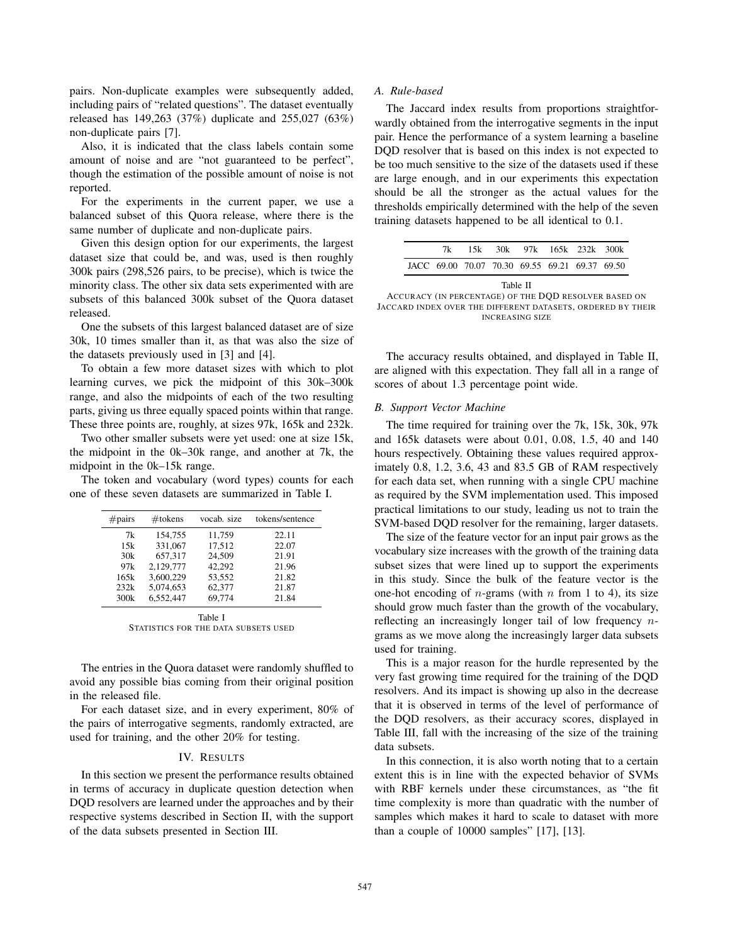pairs. Non-duplicate examples were subsequently added, including pairs of "related questions". The dataset eventually released has 149,263 (37%) duplicate and 255,027 (63%) non-duplicate pairs [7].

Also, it is indicated that the class labels contain some amount of noise and are "not guaranteed to be perfect", though the estimation of the possible amount of noise is not reported.

For the experiments in the current paper, we use a balanced subset of this Quora release, where there is the same number of duplicate and non-duplicate pairs.

Given this design option for our experiments, the largest dataset size that could be, and was, used is then roughly 300k pairs (298,526 pairs, to be precise), which is twice the minority class. The other six data sets experimented with are subsets of this balanced 300k subset of the Quora dataset released.

One the subsets of this largest balanced dataset are of size 30k, 10 times smaller than it, as that was also the size of the datasets previously used in [3] and [4].

To obtain a few more dataset sizes with which to plot learning curves, we pick the midpoint of this 30k–300k range, and also the midpoints of each of the two resulting parts, giving us three equally spaced points within that range. These three points are, roughly, at sizes 97k, 165k and 232k.

Two other smaller subsets were yet used: one at size 15k, the midpoint in the 0k–30k range, and another at 7k, the midpoint in the 0k–15k range.

The token and vocabulary (word types) counts for each one of these seven datasets are summarized in Table I.

| #pairs  | $#$ tokens | vocab. size | tokens/sentence |  |  |  |
|---------|------------|-------------|-----------------|--|--|--|
| 7k      | 154,755    | 11,759      | 22.11           |  |  |  |
| 15k     | 331,067    | 17,512      | 22.07           |  |  |  |
| 30k     | 657,317    | 24,509      | 21.91           |  |  |  |
| 97k     | 2,129,777  | 42.292      | 21.96           |  |  |  |
| 165k    | 3,600,229  | 53,552      | 21.82           |  |  |  |
| 232k    | 5.074.653  | 62,377      | 21.87           |  |  |  |
| 300k    | 6.552.447  | 69,774      | 21.84           |  |  |  |
| Table I |            |             |                 |  |  |  |

STATISTICS FOR THE DATA SUBSETS USED

The entries in the Quora dataset were randomly shuffled to avoid any possible bias coming from their original position in the released file.

For each dataset size, and in every experiment, 80% of the pairs of interrogative segments, randomly extracted, are used for training, and the other 20% for testing.

### IV. RESULTS

In this section we present the performance results obtained in terms of accuracy in duplicate question detection when DQD resolvers are learned under the approaches and by their respective systems described in Section II, with the support of the data subsets presented in Section III.

### *A. Rule-based*

The Jaccard index results from proportions straightforwardly obtained from the interrogative segments in the input pair. Hence the performance of a system learning a baseline DQD resolver that is based on this index is not expected to be too much sensitive to the size of the datasets used if these are large enough, and in our experiments this expectation should be all the stronger as the actual values for the thresholds empirically determined with the help of the seven training datasets happened to be all identical to 0.1.

|                                                |  |                |  | 7k 15k 30k 97k 165k 232k 300k |  |
|------------------------------------------------|--|----------------|--|-------------------------------|--|
| JACC 69.00 70.07 70.30 69.55 69.21 69.37 69.50 |  |                |  |                               |  |
|                                                |  | $T_0 h l_0$ II |  |                               |  |

| тане п                                                      |
|-------------------------------------------------------------|
| ACCURACY (IN PERCENTAGE) OF THE DOD RESOLVER BASED ON       |
| JACCARD INDEX OVER THE DIFFERENT DATASETS, ORDERED BY THEIR |
| <b>INCREASING SIZE</b>                                      |

The accuracy results obtained, and displayed in Table II, are aligned with this expectation. They fall all in a range of scores of about 1.3 percentage point wide.

#### *B. Support Vector Machine*

The time required for training over the 7k, 15k, 30k, 97k and 165k datasets were about 0.01, 0.08, 1.5, 40 and 140 hours respectively. Obtaining these values required approximately 0.8, 1.2, 3.6, 43 and 83.5 GB of RAM respectively for each data set, when running with a single CPU machine as required by the SVM implementation used. This imposed practical limitations to our study, leading us not to train the SVM-based DQD resolver for the remaining, larger datasets.

The size of the feature vector for an input pair grows as the vocabulary size increases with the growth of the training data subset sizes that were lined up to support the experiments in this study. Since the bulk of the feature vector is the one-hot encoding of *n*-grams (with *n* from 1 to 4), its size should grow much faster than the growth of the vocabulary, reflecting an increasingly longer tail of low frequency ngrams as we move along the increasingly larger data subsets used for training.

This is a major reason for the hurdle represented by the very fast growing time required for the training of the DQD resolvers. And its impact is showing up also in the decrease that it is observed in terms of the level of performance of the DQD resolvers, as their accuracy scores, displayed in Table III, fall with the increasing of the size of the training data subsets.

In this connection, it is also worth noting that to a certain extent this is in line with the expected behavior of SVMs with RBF kernels under these circumstances, as "the fit time complexity is more than quadratic with the number of samples which makes it hard to scale to dataset with more than a couple of 10000 samples" [17], [13].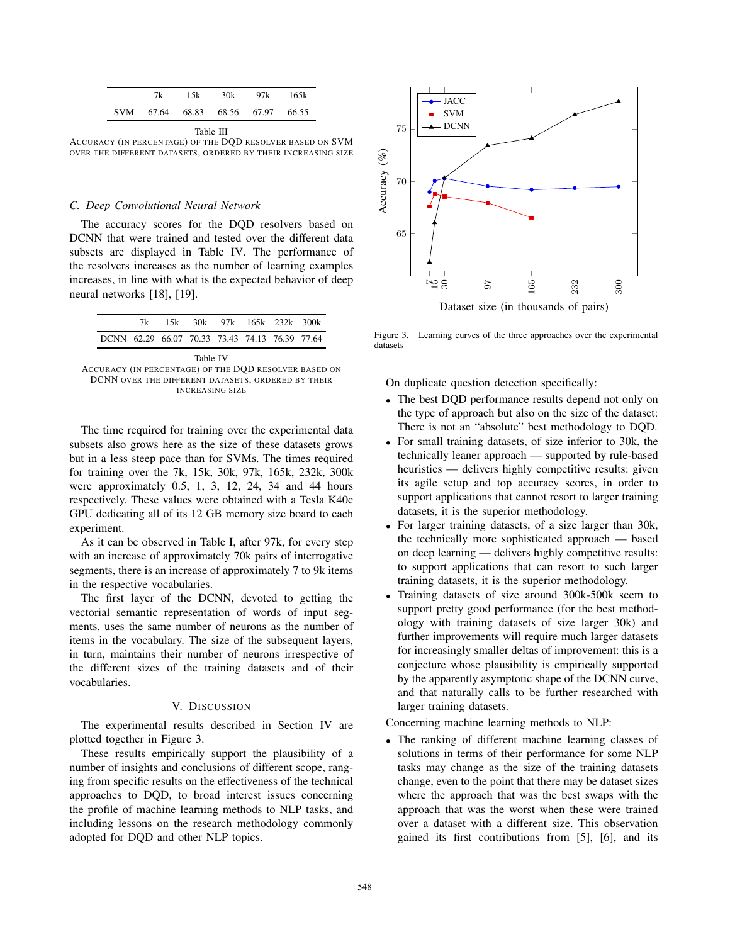|  | 7k 15k 30k 97k 165k               |  |
|--|-----------------------------------|--|
|  | SVM 67.64 68.83 68.56 67.97 66.55 |  |

Table III

ACCURACY (IN PERCENTAGE) OF THE DQD RESOLVER BASED ON SVM OVER THE DIFFERENT DATASETS, ORDERED BY THEIR INCREASING SIZE

### *C. Deep Convolutional Neural Network*

The accuracy scores for the DQD resolvers based on DCNN that were trained and tested over the different data subsets are displayed in Table IV. The performance of the resolvers increases as the number of learning examples increases, in line with what is the expected behavior of deep neural networks [18], [19].

|                                                       |                                                |  |  |  |  | 7k 15k 30k 97k 165k 232k 300k |  |  |  |  |
|-------------------------------------------------------|------------------------------------------------|--|--|--|--|-------------------------------|--|--|--|--|
|                                                       | DCNN 62.29 66.07 70.33 73.43 74.13 76.39 77.64 |  |  |  |  |                               |  |  |  |  |
| Table IV                                              |                                                |  |  |  |  |                               |  |  |  |  |
| ACCURACY (IN PERCENTAGE) OF THE DOD RESOLVER BASED ON |                                                |  |  |  |  |                               |  |  |  |  |
| DCNN OVER THE DIFFERENT DATASETS, ORDERED BY THEIR    |                                                |  |  |  |  |                               |  |  |  |  |
|                                                       | <b>INCREASING SIZE</b>                         |  |  |  |  |                               |  |  |  |  |

The time required for training over the experimental data subsets also grows here as the size of these datasets grows but in a less steep pace than for SVMs. The times required for training over the 7k, 15k, 30k, 97k, 165k, 232k, 300k were approximately 0.5, 1, 3, 12, 24, 34 and 44 hours respectively. These values were obtained with a Tesla K40c GPU dedicating all of its 12 GB memory size board to each experiment.

As it can be observed in Table I, after 97k, for every step with an increase of approximately 70k pairs of interrogative segments, there is an increase of approximately 7 to 9k items in the respective vocabularies.

The first layer of the DCNN, devoted to getting the vectorial semantic representation of words of input segments, uses the same number of neurons as the number of items in the vocabulary. The size of the subsequent layers, in turn, maintains their number of neurons irrespective of the different sizes of the training datasets and of their vocabularies.

## V. DISCUSSION

The experimental results described in Section IV are plotted together in Figure 3.

These results empirically support the plausibility of a number of insights and conclusions of different scope, ranging from specific results on the effectiveness of the technical approaches to DQD, to broad interest issues concerning the profile of machine learning methods to NLP tasks, and including lessons on the research methodology commonly adopted for DQD and other NLP topics.



Figure 3. Learning curves of the three approaches over the experimental datasets

On duplicate question detection specifically:

- The best DQD performance results depend not only on the type of approach but also on the size of the dataset: There is not an "absolute" best methodology to DQD.
- For small training datasets, of size inferior to 30k, the technically leaner approach — supported by rule-based heuristics — delivers highly competitive results: given its agile setup and top accuracy scores, in order to support applications that cannot resort to larger training datasets, it is the superior methodology.
- For larger training datasets, of a size larger than 30k, the technically more sophisticated approach — based on deep learning — delivers highly competitive results: to support applications that can resort to such larger training datasets, it is the superior methodology.
- Training datasets of size around 300k-500k seem to support pretty good performance (for the best methodology with training datasets of size larger 30k) and further improvements will require much larger datasets for increasingly smaller deltas of improvement: this is a conjecture whose plausibility is empirically supported by the apparently asymptotic shape of the DCNN curve, and that naturally calls to be further researched with larger training datasets.

Concerning machine learning methods to NLP:

The ranking of different machine learning classes of solutions in terms of their performance for some NLP tasks may change as the size of the training datasets change, even to the point that there may be dataset sizes where the approach that was the best swaps with the approach that was the worst when these were trained over a dataset with a different size. This observation gained its first contributions from [5], [6], and its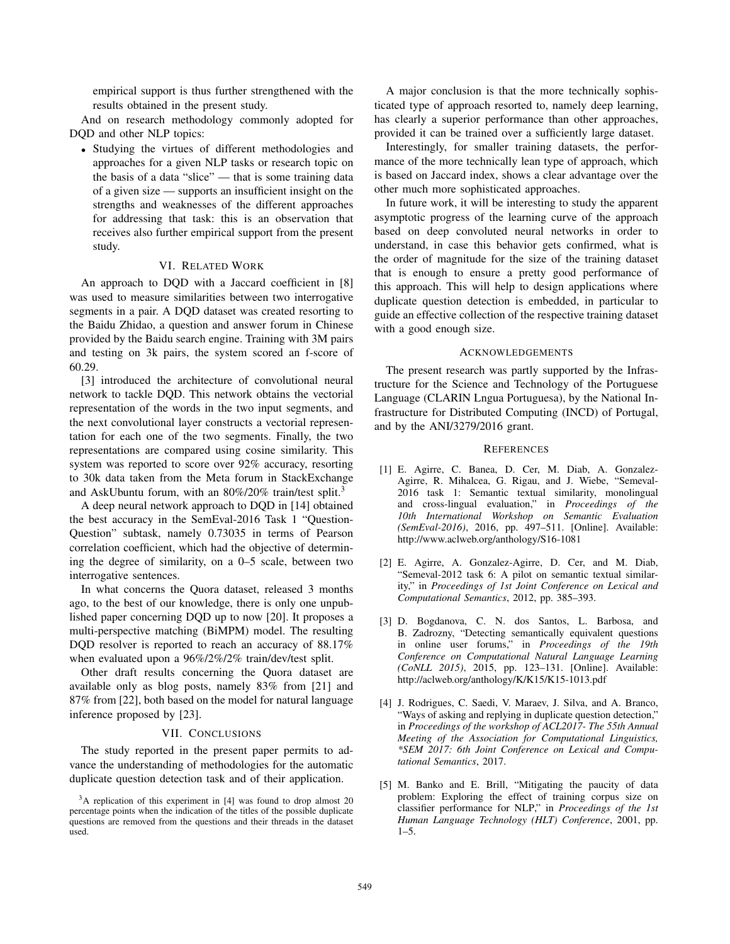empirical support is thus further strengthened with the results obtained in the present study.

And on research methodology commonly adopted for DQD and other NLP topics:

• Studying the virtues of different methodologies and approaches for a given NLP tasks or research topic on the basis of a data "slice" — that is some training data of a given size — supports an insufficient insight on the strengths and weaknesses of the different approaches for addressing that task: this is an observation that receives also further empirical support from the present study.

## VI. RELATED WORK

An approach to DQD with a Jaccard coefficient in [8] was used to measure similarities between two interrogative segments in a pair. A DQD dataset was created resorting to the Baidu Zhidao, a question and answer forum in Chinese provided by the Baidu search engine. Training with 3M pairs and testing on 3k pairs, the system scored an f-score of 60.29.

[3] introduced the architecture of convolutional neural network to tackle DQD. This network obtains the vectorial representation of the words in the two input segments, and the next convolutional layer constructs a vectorial representation for each one of the two segments. Finally, the two representations are compared using cosine similarity. This system was reported to score over 92% accuracy, resorting to 30k data taken from the Meta forum in StackExchange and AskUbuntu forum, with an 80%/20% train/test split.<sup>3</sup>

A deep neural network approach to DQD in [14] obtained the best accuracy in the SemEval-2016 Task 1 "Question-Question" subtask, namely 0.73035 in terms of Pearson correlation coefficient, which had the objective of determining the degree of similarity, on a 0–5 scale, between two interrogative sentences.

In what concerns the Quora dataset, released 3 months ago, to the best of our knowledge, there is only one unpublished paper concerning DQD up to now [20]. It proposes a multi-perspective matching (BiMPM) model. The resulting DOD resolver is reported to reach an accuracy of 88.17% when evaluated upon a 96%/2%/2% train/dev/test split.

Other draft results concerning the Quora dataset are available only as blog posts, namely 83% from [21] and 87% from [22], both based on the model for natural language inference proposed by [23].

#### VII. CONCLUSIONS

The study reported in the present paper permits to advance the understanding of methodologies for the automatic duplicate question detection task and of their application.

A major conclusion is that the more technically sophisticated type of approach resorted to, namely deep learning, has clearly a superior performance than other approaches, provided it can be trained over a sufficiently large dataset.

Interestingly, for smaller training datasets, the performance of the more technically lean type of approach, which is based on Jaccard index, shows a clear advantage over the other much more sophisticated approaches.

In future work, it will be interesting to study the apparent asymptotic progress of the learning curve of the approach based on deep convoluted neural networks in order to understand, in case this behavior gets confirmed, what is the order of magnitude for the size of the training dataset that is enough to ensure a pretty good performance of this approach. This will help to design applications where duplicate question detection is embedded, in particular to guide an effective collection of the respective training dataset with a good enough size.

### ACKNOWLEDGEMENTS

The present research was partly supported by the Infrastructure for the Science and Technology of the Portuguese Language (CLARIN Lngua Portuguesa), by the National Infrastructure for Distributed Computing (INCD) of Portugal, and by the ANI/3279/2016 grant.

#### **REFERENCES**

- [1] E. Agirre, C. Banea, D. Cer, M. Diab, A. Gonzalez-Agirre, R. Mihalcea, G. Rigau, and J. Wiebe, "Semeval-2016 task 1: Semantic textual similarity, monolingual and cross-lingual evaluation," in *Proceedings of the 10th International Workshop on Semantic Evaluation (SemEval-2016)*, 2016, pp. 497–511. [Online]. Available: http://www.aclweb.org/anthology/S16-1081
- [2] E. Agirre, A. Gonzalez-Agirre, D. Cer, and M. Diab, "Semeval-2012 task 6: A pilot on semantic textual similarity," in *Proceedings of 1st Joint Conference on Lexical and Computational Semantics*, 2012, pp. 385–393.
- [3] D. Bogdanova, C. N. dos Santos, L. Barbosa, and B. Zadrozny, "Detecting semantically equivalent questions in online user forums," in *Proceedings of the 19th Conference on Computational Natural Language Learning (CoNLL 2015)*, 2015, pp. 123–131. [Online]. Available: http://aclweb.org/anthology/K/K15/K15-1013.pdf
- [4] J. Rodrigues, C. Saedi, V. Maraev, J. Silva, and A. Branco, "Ways of asking and replying in duplicate question detection," in *Proceedings of the workshop of ACL2017- The 55th Annual Meeting of the Association for Computational Linguistics, \*SEM 2017: 6th Joint Conference on Lexical and Computational Semantics*, 2017.
- [5] M. Banko and E. Brill, "Mitigating the paucity of data problem: Exploring the effect of training corpus size on classifier performance for NLP," in *Proceedings of the 1st Human Language Technology (HLT) Conference*, 2001, pp.  $1 - 5$ .

<sup>3</sup>A replication of this experiment in [4] was found to drop almost 20 percentage points when the indication of the titles of the possible duplicate questions are removed from the questions and their threads in the dataset used.